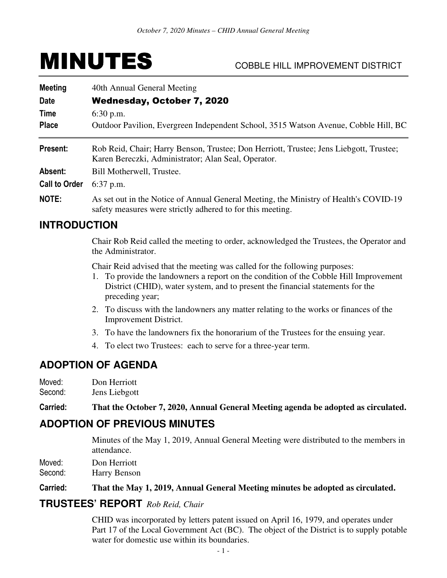# MINUTES COBBLE HILL IMPROVEMENT DISTRICT

| <b>Meeting</b>       | 40th Annual General Meeting                                                                                                                         |
|----------------------|-----------------------------------------------------------------------------------------------------------------------------------------------------|
| <b>Date</b>          | Wednesday, October 7, 2020                                                                                                                          |
| Time                 | $6:30$ p.m.                                                                                                                                         |
| <b>Place</b>         | Outdoor Pavilion, Evergreen Independent School, 3515 Watson Avenue, Cobble Hill, BC                                                                 |
| Present:             | Rob Reid, Chair; Harry Benson, Trustee; Don Herriott, Trustee; Jens Liebgott, Trustee;<br>Karen Bereczki, Administrator; Alan Seal, Operator.       |
| Absent:              | Bill Motherwell, Trustee.                                                                                                                           |
| <b>Call to Order</b> | $6:37$ p.m.                                                                                                                                         |
| <b>NOTE:</b>         | As set out in the Notice of Annual General Meeting, the Ministry of Health's COVID-19<br>safety measures were strictly adhered to for this meeting. |
| <b>INTRODUCTION</b>  |                                                                                                                                                     |

#### Chair Rob Reid called the meeting to order, acknowledged the Trustees, the Operator and the Administrator.

Chair Reid advised that the meeting was called for the following purposes:

- 1. To provide the landowners a report on the condition of the Cobble Hill Improvement District (CHID), water system, and to present the financial statements for the preceding year;
- 2. To discuss with the landowners any matter relating to the works or finances of the Improvement District.
- 3. To have the landowners fix the honorarium of the Trustees for the ensuing year.
- 4. To elect two Trustees: each to serve for a three-year term.

# **ADOPTION OF AGENDA**

Moved: Don Herriott

Second: Jens Liebgott

**Carried: That the October 7, 2020, Annual General Meeting agenda be adopted as circulated.** 

# **ADOPTION OF PREVIOUS MINUTES**

 Minutes of the May 1, 2019, Annual General Meeting were distributed to the members in attendance.

Moved: Don Herriott

Second: Harry Benson

#### **Carried: That the May 1, 2019, Annual General Meeting minutes be adopted as circulated.**

#### **TRUSTEES' REPORT** *Rob Reid, Chair*

CHID was incorporated by letters patent issued on April 16, 1979, and operates under Part 17 of the Local Government Act (BC). The object of the District is to supply potable water for domestic use within its boundaries.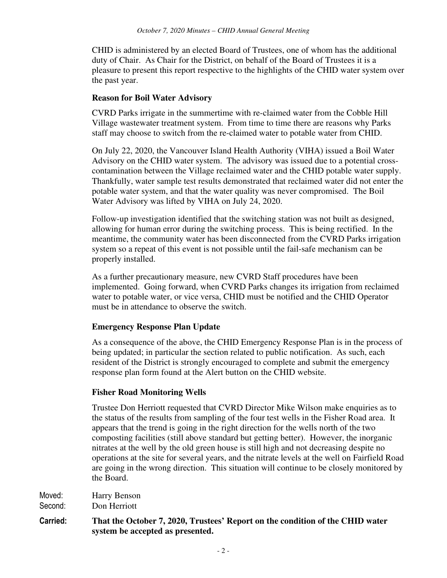CHID is administered by an elected Board of Trustees, one of whom has the additional duty of Chair. As Chair for the District, on behalf of the Board of Trustees it is a pleasure to present this report respective to the highlights of the CHID water system over the past year.

#### **Reason for Boil Water Advisory**

CVRD Parks irrigate in the summertime with re-claimed water from the Cobble Hill Village wastewater treatment system. From time to time there are reasons why Parks staff may choose to switch from the re-claimed water to potable water from CHID.

On July 22, 2020, the Vancouver Island Health Authority (VIHA) issued a Boil Water Advisory on the CHID water system. The advisory was issued due to a potential crosscontamination between the Village reclaimed water and the CHID potable water supply. Thankfully, water sample test results demonstrated that reclaimed water did not enter the potable water system, and that the water quality was never compromised. The Boil Water Advisory was lifted by VIHA on July 24, 2020.

Follow-up investigation identified that the switching station was not built as designed, allowing for human error during the switching process. This is being rectified. In the meantime, the community water has been disconnected from the CVRD Parks irrigation system so a repeat of this event is not possible until the fail-safe mechanism can be properly installed.

As a further precautionary measure, new CVRD Staff procedures have been implemented. Going forward, when CVRD Parks changes its irrigation from reclaimed water to potable water, or vice versa, CHID must be notified and the CHID Operator must be in attendance to observe the switch.

#### **Emergency Response Plan Update**

As a consequence of the above, the CHID Emergency Response Plan is in the process of being updated; in particular the section related to public notification. As such, each resident of the District is strongly encouraged to complete and submit the emergency response plan form found at the Alert button on the CHID website.

#### **Fisher Road Monitoring Wells**

Trustee Don Herriott requested that CVRD Director Mike Wilson make enquiries as to the status of the results from sampling of the four test wells in the Fisher Road area. It appears that the trend is going in the right direction for the wells north of the two composting facilities (still above standard but getting better). However, the inorganic nitrates at the well by the old green house is still high and not decreasing despite no operations at the site for several years, and the nitrate levels at the well on Fairfield Road are going in the wrong direction. This situation will continue to be closely monitored by the Board.

Moved: Harry Benson Second: Don Herriott

**Carried: That the October 7, 2020, Trustees' Report on the condition of the CHID water system be accepted as presented.**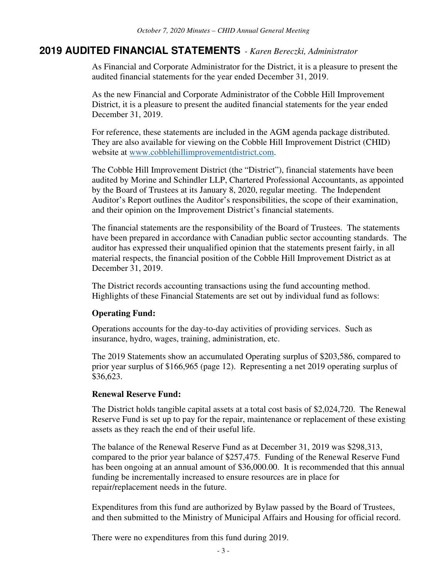### **2019 AUDITED FINANCIAL STATEMENTS** *- Karen Bereczki, Administrator*

As Financial and Corporate Administrator for the District, it is a pleasure to present the audited financial statements for the year ended December 31, 2019.

As the new Financial and Corporate Administrator of the Cobble Hill Improvement District, it is a pleasure to present the audited financial statements for the year ended December 31, 2019.

For reference, these statements are included in the AGM agenda package distributed. They are also available for viewing on the Cobble Hill Improvement District (CHID) website at www.cobblehillimprovementdistrict.com.

The Cobble Hill Improvement District (the "District"), financial statements have been audited by Morine and Schindler LLP, Chartered Professional Accountants, as appointed by the Board of Trustees at its January 8, 2020, regular meeting. The Independent Auditor's Report outlines the Auditor's responsibilities, the scope of their examination, and their opinion on the Improvement District's financial statements.

The financial statements are the responsibility of the Board of Trustees. The statements have been prepared in accordance with Canadian public sector accounting standards. The auditor has expressed their unqualified opinion that the statements present fairly, in all material respects, the financial position of the Cobble Hill Improvement District as at December 31, 2019.

The District records accounting transactions using the fund accounting method. Highlights of these Financial Statements are set out by individual fund as follows:

#### **Operating Fund:**

Operations accounts for the day-to-day activities of providing services. Such as insurance, hydro, wages, training, administration, etc.

The 2019 Statements show an accumulated Operating surplus of \$203,586, compared to prior year surplus of \$166,965 (page 12). Representing a net 2019 operating surplus of \$36,623.

#### **Renewal Reserve Fund:**

The District holds tangible capital assets at a total cost basis of \$2,024,720. The Renewal Reserve Fund is set up to pay for the repair, maintenance or replacement of these existing assets as they reach the end of their useful life.

The balance of the Renewal Reserve Fund as at December 31, 2019 was \$298,313, compared to the prior year balance of \$257,475. Funding of the Renewal Reserve Fund has been ongoing at an annual amount of \$36,000.00. It is recommended that this annual funding be incrementally increased to ensure resources are in place for repair/replacement needs in the future.

Expenditures from this fund are authorized by Bylaw passed by the Board of Trustees, and then submitted to the Ministry of Municipal Affairs and Housing for official record.

There were no expenditures from this fund during 2019.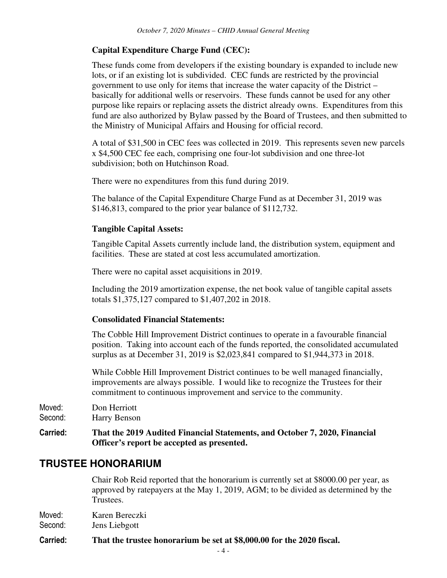## **Capital Expenditure Charge Fund (CEC):**

These funds come from developers if the existing boundary is expanded to include new lots, or if an existing lot is subdivided. CEC funds are restricted by the provincial government to use only for items that increase the water capacity of the District – basically for additional wells or reservoirs. These funds cannot be used for any other purpose like repairs or replacing assets the district already owns. Expenditures from this fund are also authorized by Bylaw passed by the Board of Trustees, and then submitted to the Ministry of Municipal Affairs and Housing for official record.

A total of \$31,500 in CEC fees was collected in 2019. This represents seven new parcels x \$4,500 CEC fee each, comprising one four-lot subdivision and one three-lot subdivision; both on Hutchinson Road.

There were no expenditures from this fund during 2019.

The balance of the Capital Expenditure Charge Fund as at December 31, 2019 was \$146,813, compared to the prior year balance of \$112,732.

#### **Tangible Capital Assets:**

Tangible Capital Assets currently include land, the distribution system, equipment and facilities. These are stated at cost less accumulated amortization.

There were no capital asset acquisitions in 2019.

Including the 2019 amortization expense, the net book value of tangible capital assets totals \$1,375,127 compared to \$1,407,202 in 2018.

#### **Consolidated Financial Statements:**

The Cobble Hill Improvement District continues to operate in a favourable financial position. Taking into account each of the funds reported, the consolidated accumulated surplus as at December 31, 2019 is \$2,023,841 compared to \$1,944,373 in 2018.

While Cobble Hill Improvement District continues to be well managed financially, improvements are always possible. I would like to recognize the Trustees for their commitment to continuous improvement and service to the community.

Moved: Don Herriott Second: Harry Benson

**Carried: That the 2019 Audited Financial Statements, and October 7, 2020, Financial Officer's report be accepted as presented.** 

# **TRUSTEE HONORARIUM**

 Chair Rob Reid reported that the honorarium is currently set at \$8000.00 per year, as approved by ratepayers at the May 1, 2019, AGM; to be divided as determined by the Trustees.

Moved: Karen Bereczki

Second: Jens Liebgott

#### **Carried: That the trustee honorarium be set at \$8,000.00 for the 2020 fiscal.**